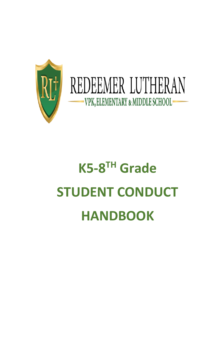

# **K5-8 TH Grade STUDENT CONDUCT HANDBOOK**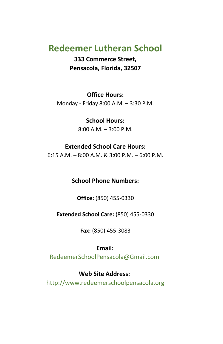#### **Redeemer Lutheran School**

**333 Commerce Street, Pensacola, Florida, 32507**

#### **Office Hours:**

Monday - Friday 8:00 A.M. – 3:30 P.M.

#### **School Hours:**

8:00 A.M. – 3:00 P.M.

#### **Extended School Care Hours:**

6:15 A.M. – 8:00 A.M. & 3:00 P.M. – 6:00 P.M.

#### **School Phone Numbers:**

**Office:** (850) 455-0330

#### **Extended School Care:** (850) 455-0330

**Fax:** (850) 455-3083

#### **Email:**

RedeemerSchoolPensacola@Gmail.com

#### **Web Site Address:**

[http://www.redeemerschoolpensacola.org](http://www.redeemerschoolpensacola.org/)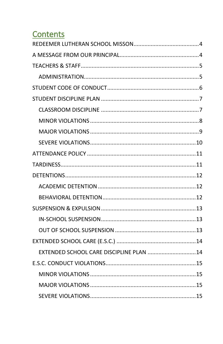#### **Contents**

| EXTENDED SCHOOL CARE DISCIPLINE PLAN  14 |  |
|------------------------------------------|--|
|                                          |  |
|                                          |  |
|                                          |  |
|                                          |  |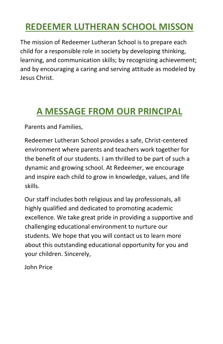## <span id="page-3-0"></span>**REDEEMER LUTHERAN SCHOOL MISSON**

The mission of Redeemer Lutheran School is to prepare each child for a responsible role in society by developing thinking, learning, and communication skills; by recognizing achievement; and by encouraging a caring and serving attitude as modeled by Jesus Christ.

### <span id="page-3-1"></span>**A MESSAGE FROM OUR PRINCIPAL**

Parents and Families,

Redeemer Lutheran School provides a safe, Christ-centered environment where parents and teachers work together for the benefit of our students. I am thrilled to be part of such a dynamic and growing school. At Redeemer, we encourage and inspire each child to grow in knowledge, values, and life skills.

Our staff includes both religious and lay professionals, all highly qualified and dedicated to promoting academic excellence. We take great pride in providing a supportive and challenging educational environment to nurture our students. We hope that you will contact us to learn more about this outstanding educational opportunity for you and your children. Sincerely,

John Price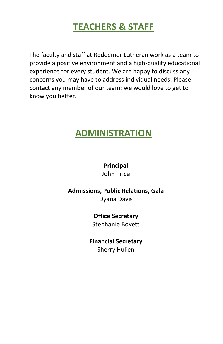### **TEACHERS & STAFF**

<span id="page-4-0"></span>The faculty and staff at Redeemer Lutheran work as a team to provide a positive environment and a high-quality educational experience for every student. We are happy to discuss any concerns you may have to address individual needs. Please contact any member of our team; we would love to get to know you better.

#### <span id="page-4-1"></span>**ADMINISTRATION**

#### **Principal**

John Price

#### **Admissions, Public Relations, Gala**

Dyana Davis

#### **Office Secretary**

Stephanie Boyett

#### **Financial Secretary** Sherry Hulien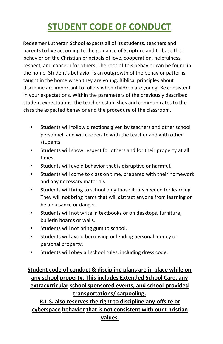# **STUDENT CODE OF CONDUCT**

<span id="page-5-0"></span>Redeemer Lutheran School expects all of its students, teachers and parents to live according to the guidance of Scripture and to base their behavior on the Christian principals of love, cooperation, helpfulness, respect, and concern for others. The root of this behavior can be found in the home. Student's behavior is an outgrowth of the behavior patterns taught in the home when they are young. Biblical principles about discipline are important to follow when children are young. Be consistent in your expectations. Within the parameters of the previously described student expectations, the teacher establishes and communicates to the class the expected behavior and the procedure of the classroom.

- Students will follow directions given by teachers and other school personnel, and will cooperate with the teacher and with other students.
- Students will show respect for others and for their property at all times.
- Students will avoid behavior that is disruptive or harmful.
- Students will come to class on time, prepared with their homework and any necessary materials.
- Students will bring to school only those items needed for learning. They will not bring items that will distract anyone from learning or be a nuisance or danger.
- Students will not write in textbooks or on desktops, furniture, bulletin boards or walls.
- Students will not bring gum to school.
- Students will avoid borrowing or lending personal money or personal property.
- Students will obey all school rules, including dress code.

#### **Student code of conduct & discipline plans are in place while on any school property. This includes Extended School Care, any extracurricular school sponsored events, and school-provided transportations/ carpooling.**

**R.L.S. also reserves the right to discipline any offsite or cyberspace behavior that is not consistent with our Christian values.**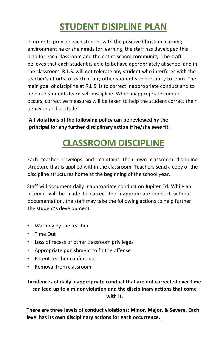# **STUDENT DISIPLINE PLAN**

<span id="page-6-0"></span>In order to provide each student with the positive Christian learning environment he or she needs for learning, the staff has developed this plan for each classroom and the entire school community. The staff believes that each student is able to behave appropriately at school and in the classroom. R.L.S. will not tolerate any student who interferes with the teacher's efforts to teach or any other student's opportunity to learn. The main goal of discipline at R.L.S. is to correct inappropriate conduct and to help our students learn self-discipline. When inappropriate conduct occurs, corrective measures will be taken to help the student correct their behavior and attitude.

**All violations of the following policy can be reviewed by the principal for any further disciplinary action if he/she sees fit.**

# **CLASSROOM DISCIPLINE**

<span id="page-6-1"></span>Each teacher develops and maintains their own classroom discipline structure that is applied within the classroom. Teachers send a copy of the discipline structures home at the beginning of the school year.

Staff will document daily inappropriate conduct on Jupiter Ed. While an attempt will be made to correct the inappropriate conduct without documentation, the staff may take the following actions to help further the student's development:

- Warning by the teacher
- Time Out
- Loss of recess or other classroom privileges
- Appropriate punishment to fit the offense
- Parent teacher conference
- Removal from classroom

**Incidences of daily inappropriate conduct that are not corrected over time can lead up to a minor violation and the disciplinary actions that come with it.** 

**There are three levels of conduct violations: Minor, Major, & Severe. Each level has its own disciplinary actions for each occurrence.**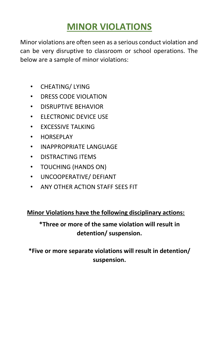### **MINOR VIOLATIONS**

<span id="page-7-0"></span>Minor violations are often seen as a serious conduct violation and can be very disruptive to classroom or school operations. The below are a sample of minor violations:

- CHEATING/ LYING
- DRESS CODE VIOLATION
- DISRUPTIVE BEHAVIOR
- ELECTRONIC DEVICE USE
- EXCESSIVE TALKING
- HORSEPLAY
- INAPPROPRIATE LANGUAGE
- DISTRACTING ITEMS
- TOUCHING (HANDS ON)
- UNCOOPERATIVE/ DEFIANT
- ANY OTHER ACTION STAFF SEES FIT

#### **Minor Violations have the following disciplinary actions:**

#### **\*Three or more of the same violation will result in detention/ suspension.**

**\*Five or more separate violations will result in detention/ suspension.**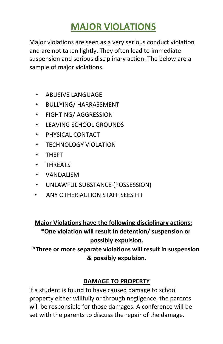### **MAJOR VIOLATIONS**

<span id="page-8-0"></span>Major violations are seen as a very serious conduct violation and are not taken lightly. They often lead to immediate suspension and serious disciplinary action. The below are a sample of major violations:

- ABUSIVE LANGUAGE
- BULLYING/ HARRASSMENT
- FIGHTING/ AGGRESSION
- LEAVING SCHOOL GROUNDS
- PHYSICAL CONTACT
- TECHNOLOGY VIOLATION
- THEFT
- THREATS
- VANDALISM
- UNLAWFUL SUBSTANCE (POSSESSION)
- ANY OTHER ACTION STAFF SEES FIT

**Major Violations have the following disciplinary actions: \*One violation will result in detention/ suspension or possibly expulsion.**

**\*Three or more separate violations will result in suspension & possibly expulsion.**

#### **DAMAGE TO PROPERTY**

If a student is found to have caused damage to school property either willfully or through negligence, the parents will be responsible for those damages. A conference will be set with the parents to discuss the repair of the damage.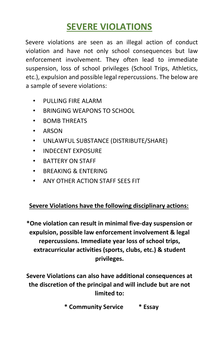### **SEVERE VIOLATIONS**

<span id="page-9-0"></span>Severe violations are seen as an illegal action of conduct violation and have not only school consequences but law enforcement involvement. They often lead to immediate suspension, loss of school privileges (School Trips, Athletics, etc.), expulsion and possible legal repercussions. The below are a sample of severe violations:

- PULLING FIRE ALARM
- BRINGING WEAPONS TO SCHOOL
- BOMB THREATS
- ARSON
- UNLAWFUL SUBSTANCE (DISTRIBUTE/SHARE)
- INDECENT EXPOSURE
- BATTERY ON STAFF
- BREAKING & ENTERING
- ANY OTHER ACTION STAFF SEES FIT

#### **Severe Violations have the following disciplinary actions:**

**\*One violation can result in minimal five-day suspension or expulsion, possible law enforcement involvement & legal repercussions. Immediate year loss of school trips, extracurricular activities (sports, clubs, etc.) & student privileges.** 

**Severe Violations can also have additional consequences at the discretion of the principal and will include but are not limited to:** 

**\* Community Service \* Essay**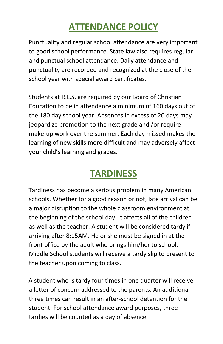## **ATTENDANCE POLICY**

<span id="page-10-0"></span>Punctuality and regular school attendance are very important to good school performance. State law also requires regular and punctual school attendance. Daily attendance and punctuality are recorded and recognized at the close of the school year with special award certificates.

Students at R.L.S. are required by our Board of Christian Education to be in attendance a minimum of 160 days out of the 180 day school year. Absences in excess of 20 days may jeopardize promotion to the next grade and /or require make-up work over the summer. Each day missed makes the learning of new skills more difficult and may adversely affect your child's learning and grades.

### **TARDINESS**

<span id="page-10-1"></span>Tardiness has become a serious problem in many American schools. Whether for a good reason or not, late arrival can be a major disruption to the whole classroom environment at the beginning of the school day. It affects all of the children as well as the teacher. A student will be considered tardy if arriving after 8:15AM. He or she must be signed in at the front office by the adult who brings him/her to school. Middle School students will receive a tardy slip to present to the teacher upon coming to class.

A student who is tardy four times in one quarter will receive a letter of concern addressed to the parents. An additional three times can result in an after-school detention for the student. For school attendance award purposes, three tardies will be counted as a day of absence.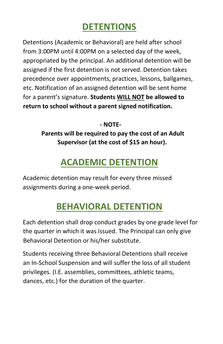### **DETENTIONS**

<span id="page-11-0"></span>Detentions (Academic or Behavioral) are held after school from 3:00PM until 4:00PM on a selected day of the week, appropriated by the principal. An additional detention will be assigned if the first detention is not served. Detention takes precedence over appointments, practices, lessons, ballgames, etc. Notification of an assigned detention will be sent home for a parent's signature. **Students WILL NOT be allowed to return to school without a parent signed notification.**

**- NOTE-**

**Parents will be required to pay the cost of an Adult Supervisor (at the cost of \$15 an hour).** 

### **ACADEMIC DETENTION**

<span id="page-11-1"></span>Academic detention may result for every three missed assignments during a one-week period.

# **BEHAVIORAL DETENTION**

<span id="page-11-2"></span>Each detention shall drop conduct grades by one grade level for the quarter in which it was issued. The Principal can only give Behavioral Detention or his/her substitute.

Students receiving three Behavioral Detentions shall receive an In-School Suspension and will suffer the loss of all student privileges. (I.E. assemblies, committees, athletic teams, dances, etc.) for the duration of the quarter.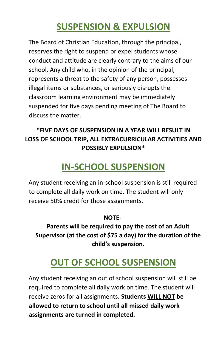### **SUSPENSION & EXPULSION**

<span id="page-12-0"></span>The Board of Christian Education, through the principal, reserves the right to suspend or expel students whose conduct and attitude are clearly contrary to the aims of our school. Any child who, in the opinion of the principal, represents a threat to the safety of any person, possesses illegal items or substances, or seriously disrupts the classroom learning environment may be immediately suspended for five days pending meeting of The Board to discuss the matter.

#### **\*FIVE DAYS OF SUSPENSION IN A YEAR WILL RESULT IN LOSS OF SCHOOL TRIP, ALL EXTRACURRICULAR ACTIVITIES AND POSSIBLY EXPULSION\***

# **IN-SCHOOL SUSPENSION**

<span id="page-12-1"></span>Any student receiving an in-school suspension is still required to complete all daily work on time. The student will only receive 50% credit for those assignments.

#### -**NOTE-**

**Parents will be required to pay the cost of an Adult Supervisor (at the cost of \$75 a day) for the duration of the child's suspension.**

# **OUT OF SCHOOL SUSPENSION**

<span id="page-12-2"></span>Any student receiving an out of school suspension will still be required to complete all daily work on time. The student will receive zeros for all assignments. **Students WILL NOT be allowed to return to school until all missed daily work assignments are turned in completed.**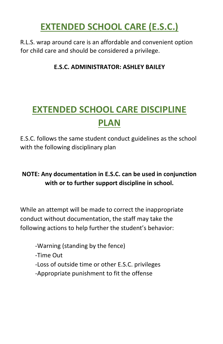### **EXTENDED SCHOOL CARE (E.S.C.)**

<span id="page-13-0"></span>R.L.S. wrap around care is an affordable and convenient option for child care and should be considered a privilege.

#### **E.S.C. ADMINISTRATOR: ASHLEY BAILEY**

# <span id="page-13-1"></span>**EXTENDED SCHOOL CARE DISCIPLINE PLAN**

E.S.C. follows the same student conduct guidelines as the school with the following disciplinary plan

#### **NOTE: Any documentation in E.S.C. can be used in conjunction with or to further support discipline in school.**

While an attempt will be made to correct the inappropriate conduct without documentation, the staff may take the following actions to help further the student's behavior:

-Warning (standing by the fence)

-Time Out

- -Loss of outside time or other E.S.C. privileges
- -Appropriate punishment to fit the offense